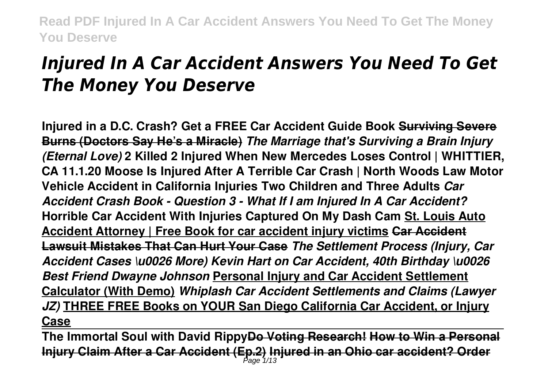# *Injured In A Car Accident Answers You Need To Get The Money You Deserve*

**Injured in a D.C. Crash? Get a FREE Car Accident Guide Book Surviving Severe Burns (Doctors Say He's a Miracle)** *The Marriage that's Surviving a Brain Injury (Eternal Love)* **2 Killed 2 Injured When New Mercedes Loses Control | WHITTIER, CA 11.1.20 Moose Is Injured After A Terrible Car Crash | North Woods Law Motor Vehicle Accident in California Injuries Two Children and Three Adults** *Car Accident Crash Book - Question 3 - What If I am Injured In A Car Accident?* **Horrible Car Accident With Injuries Captured On My Dash Cam St. Louis Auto Accident Attorney | Free Book for car accident injury victims Car Accident Lawsuit Mistakes That Can Hurt Your Case** *The Settlement Process (Injury, Car Accident Cases \u0026 More) Kevin Hart on Car Accident, 40th Birthday \u0026 Best Friend Dwayne Johnson* **Personal Injury and Car Accident Settlement Calculator (With Demo)** *Whiplash Car Accident Settlements and Claims (Lawyer JZ)* **THREE FREE Books on YOUR San Diego California Car Accident, or Injury Case**

**The Immortal Soul with David RippyDo Voting Research! How to Win a Personal Injury Claim After a Car Accident (Ep.2) Injured in an Ohio car accident? Order** Page 1/13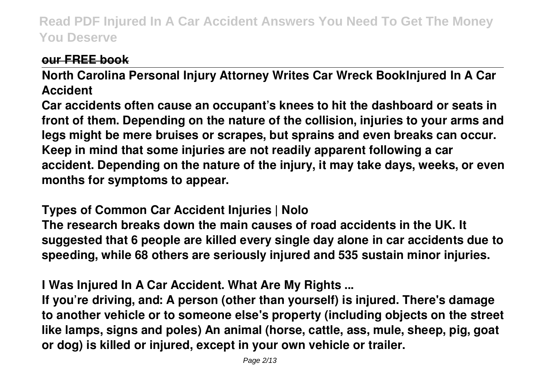## **our FREE book**

**North Carolina Personal Injury Attorney Writes Car Wreck BookInjured In A Car Accident**

**Car accidents often cause an occupant's knees to hit the dashboard or seats in front of them. Depending on the nature of the collision, injuries to your arms and legs might be mere bruises or scrapes, but sprains and even breaks can occur. Keep in mind that some injuries are not readily apparent following a car accident. Depending on the nature of the injury, it may take days, weeks, or even months for symptoms to appear.**

## **Types of Common Car Accident Injuries | Nolo**

**The research breaks down the main causes of road accidents in the UK. It suggested that 6 people are killed every single day alone in car accidents due to speeding, while 68 others are seriously injured and 535 sustain minor injuries.**

**I Was Injured In A Car Accident. What Are My Rights ...**

**If you're driving, and: A person (other than yourself) is injured. There's damage to another vehicle or to someone else's property (including objects on the street like lamps, signs and poles) An animal (horse, cattle, ass, mule, sheep, pig, goat or dog) is killed or injured, except in your own vehicle or trailer.**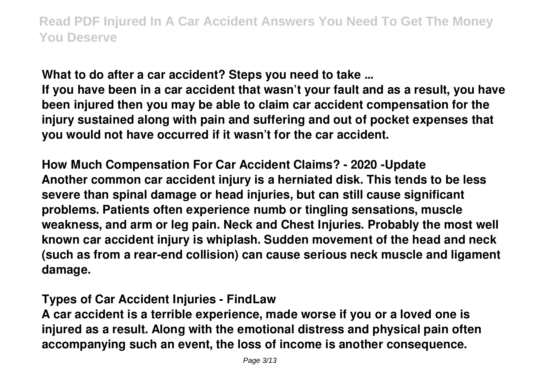**What to do after a car accident? Steps you need to take ...**

**If you have been in a car accident that wasn't your fault and as a result, you have been injured then you may be able to claim car accident compensation for the injury sustained along with pain and suffering and out of pocket expenses that you would not have occurred if it wasn't for the car accident.**

**How Much Compensation For Car Accident Claims? - 2020 -Update Another common car accident injury is a herniated disk. This tends to be less severe than spinal damage or head injuries, but can still cause significant problems. Patients often experience numb or tingling sensations, muscle weakness, and arm or leg pain. Neck and Chest Injuries. Probably the most well known car accident injury is whiplash. Sudden movement of the head and neck (such as from a rear-end collision) can cause serious neck muscle and ligament damage.**

## **Types of Car Accident Injuries - FindLaw**

**A car accident is a terrible experience, made worse if you or a loved one is injured as a result. Along with the emotional distress and physical pain often accompanying such an event, the loss of income is another consequence.**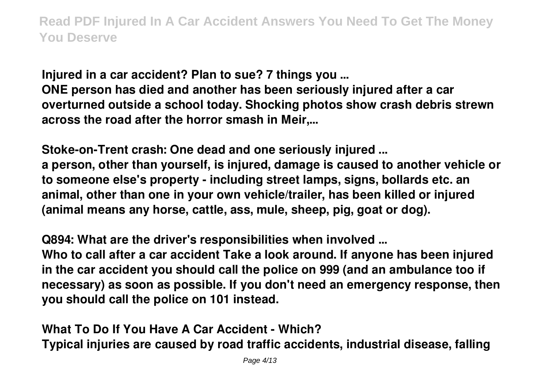**Injured in a car accident? Plan to sue? 7 things you ... ONE person has died and another has been seriously injured after a car overturned outside a school today. Shocking photos show crash debris strewn across the road after the horror smash in Meir,...**

**Stoke-on-Trent crash: One dead and one seriously injured ... a person, other than yourself, is injured, damage is caused to another vehicle or to someone else's property - including street lamps, signs, bollards etc. an animal, other than one in your own vehicle/trailer, has been killed or injured (animal means any horse, cattle, ass, mule, sheep, pig, goat or dog).**

**Q894: What are the driver's responsibilities when involved ... Who to call after a car accident Take a look around. If anyone has been injured in the car accident you should call the police on 999 (and an ambulance too if necessary) as soon as possible. If you don't need an emergency response, then you should call the police on 101 instead.**

**What To Do If You Have A Car Accident - Which? Typical injuries are caused by road traffic accidents, industrial disease, falling**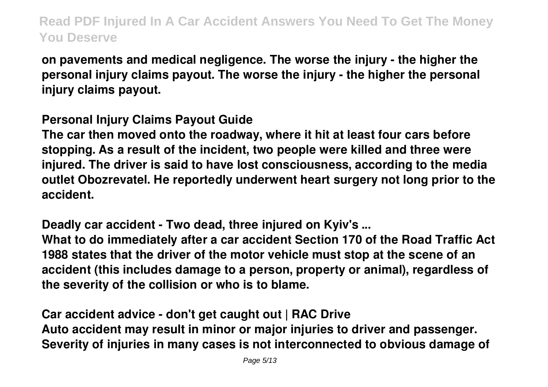**on pavements and medical negligence. The worse the injury - the higher the personal injury claims payout. The worse the injury - the higher the personal injury claims payout.**

## **Personal Injury Claims Payout Guide**

**The car then moved onto the roadway, where it hit at least four cars before stopping. As a result of the incident, two people were killed and three were injured. The driver is said to have lost consciousness, according to the media outlet Obozrevatel. He reportedly underwent heart surgery not long prior to the accident.**

**Deadly car accident - Two dead, three injured on Kyiv's ...**

**What to do immediately after a car accident Section 170 of the Road Traffic Act 1988 states that the driver of the motor vehicle must stop at the scene of an accident (this includes damage to a person, property or animal), regardless of the severity of the collision or who is to blame.**

**Car accident advice - don't get caught out | RAC Drive Auto accident may result in minor or major injuries to driver and passenger. Severity of injuries in many cases is not interconnected to obvious damage of**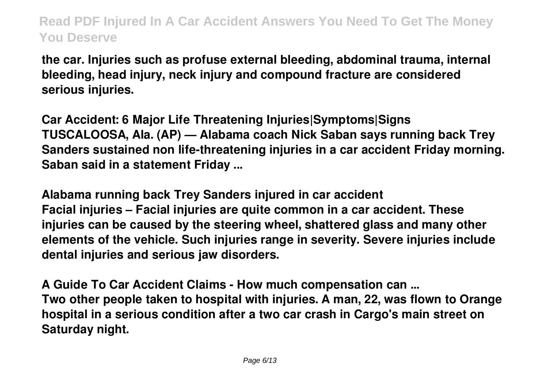**the car. Injuries such as profuse external bleeding, abdominal trauma, internal bleeding, head injury, neck injury and compound fracture are considered serious injuries.**

**Car Accident: 6 Major Life Threatening Injuries|Symptoms|Signs TUSCALOOSA, Ala. (AP) — Alabama coach Nick Saban says running back Trey Sanders sustained non life-threatening injuries in a car accident Friday morning. Saban said in a statement Friday ...**

**Alabama running back Trey Sanders injured in car accident Facial injuries – Facial injuries are quite common in a car accident. These injuries can be caused by the steering wheel, shattered glass and many other elements of the vehicle. Such injuries range in severity. Severe injuries include dental injuries and serious jaw disorders.**

**A Guide To Car Accident Claims - How much compensation can ... Two other people taken to hospital with injuries. A man, 22, was flown to Orange hospital in a serious condition after a two car crash in Cargo's main street on Saturday night.**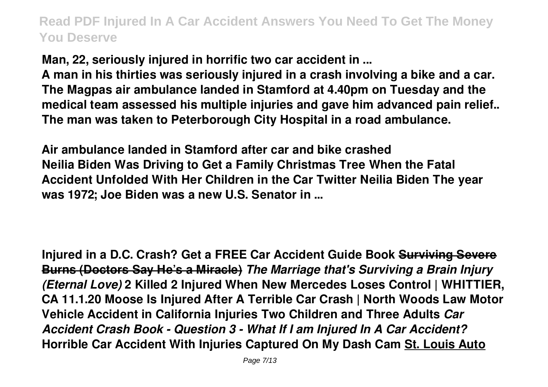**Man, 22, seriously injured in horrific two car accident in ... A man in his thirties was seriously injured in a crash involving a bike and a car.**

**The Magpas air ambulance landed in Stamford at 4.40pm on Tuesday and the medical team assessed his multiple injuries and gave him advanced pain relief.. The man was taken to Peterborough City Hospital in a road ambulance.**

**Air ambulance landed in Stamford after car and bike crashed Neilia Biden Was Driving to Get a Family Christmas Tree When the Fatal Accident Unfolded With Her Children in the Car Twitter Neilia Biden The year was 1972; Joe Biden was a new U.S. Senator in ...**

**Injured in a D.C. Crash? Get a FREE Car Accident Guide Book Surviving Severe Burns (Doctors Say He's a Miracle)** *The Marriage that's Surviving a Brain Injury (Eternal Love)* **2 Killed 2 Injured When New Mercedes Loses Control | WHITTIER, CA 11.1.20 Moose Is Injured After A Terrible Car Crash | North Woods Law Motor Vehicle Accident in California Injuries Two Children and Three Adults** *Car Accident Crash Book - Question 3 - What If I am Injured In A Car Accident?* **Horrible Car Accident With Injuries Captured On My Dash Cam St. Louis Auto**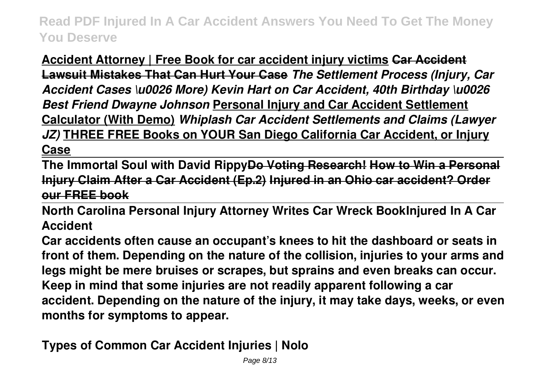**Accident Attorney | Free Book for car accident injury victims Car Accident Lawsuit Mistakes That Can Hurt Your Case** *The Settlement Process (Injury, Car Accident Cases \u0026 More) Kevin Hart on Car Accident, 40th Birthday \u0026 Best Friend Dwayne Johnson* **Personal Injury and Car Accident Settlement Calculator (With Demo)** *Whiplash Car Accident Settlements and Claims (Lawyer JZ)* **THREE FREE Books on YOUR San Diego California Car Accident, or Injury Case**

**The Immortal Soul with David RippyDo Voting Research! How to Win a Personal Injury Claim After a Car Accident (Ep.2) Injured in an Ohio car accident? Order our FREE book**

**North Carolina Personal Injury Attorney Writes Car Wreck BookInjured In A Car Accident**

**Car accidents often cause an occupant's knees to hit the dashboard or seats in front of them. Depending on the nature of the collision, injuries to your arms and legs might be mere bruises or scrapes, but sprains and even breaks can occur. Keep in mind that some injuries are not readily apparent following a car accident. Depending on the nature of the injury, it may take days, weeks, or even months for symptoms to appear.**

**Types of Common Car Accident Injuries | Nolo**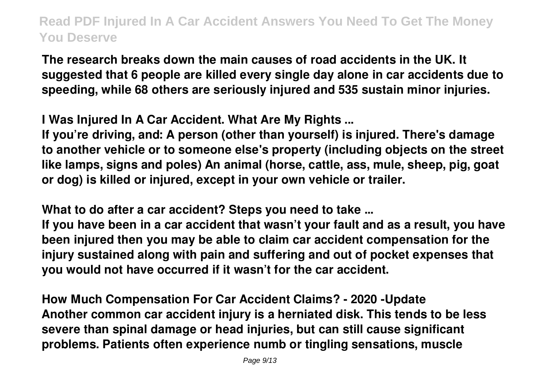**The research breaks down the main causes of road accidents in the UK. It suggested that 6 people are killed every single day alone in car accidents due to speeding, while 68 others are seriously injured and 535 sustain minor injuries.**

**I Was Injured In A Car Accident. What Are My Rights ...**

**If you're driving, and: A person (other than yourself) is injured. There's damage to another vehicle or to someone else's property (including objects on the street like lamps, signs and poles) An animal (horse, cattle, ass, mule, sheep, pig, goat or dog) is killed or injured, except in your own vehicle or trailer.**

**What to do after a car accident? Steps you need to take ...**

**If you have been in a car accident that wasn't your fault and as a result, you have been injured then you may be able to claim car accident compensation for the injury sustained along with pain and suffering and out of pocket expenses that you would not have occurred if it wasn't for the car accident.**

**How Much Compensation For Car Accident Claims? - 2020 -Update Another common car accident injury is a herniated disk. This tends to be less severe than spinal damage or head injuries, but can still cause significant problems. Patients often experience numb or tingling sensations, muscle**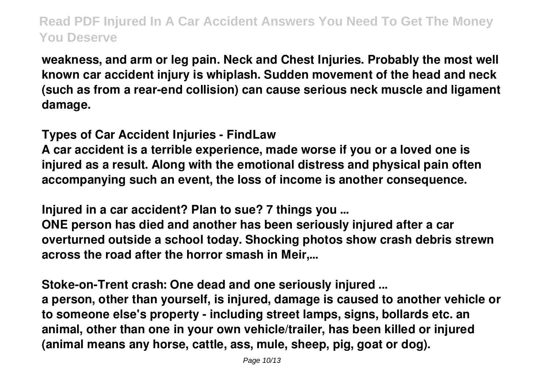**weakness, and arm or leg pain. Neck and Chest Injuries. Probably the most well known car accident injury is whiplash. Sudden movement of the head and neck (such as from a rear-end collision) can cause serious neck muscle and ligament damage.**

**Types of Car Accident Injuries - FindLaw**

**A car accident is a terrible experience, made worse if you or a loved one is injured as a result. Along with the emotional distress and physical pain often accompanying such an event, the loss of income is another consequence.**

**Injured in a car accident? Plan to sue? 7 things you ...**

**ONE person has died and another has been seriously injured after a car overturned outside a school today. Shocking photos show crash debris strewn across the road after the horror smash in Meir,...**

**Stoke-on-Trent crash: One dead and one seriously injured ... a person, other than yourself, is injured, damage is caused to another vehicle or to someone else's property - including street lamps, signs, bollards etc. an animal, other than one in your own vehicle/trailer, has been killed or injured (animal means any horse, cattle, ass, mule, sheep, pig, goat or dog).**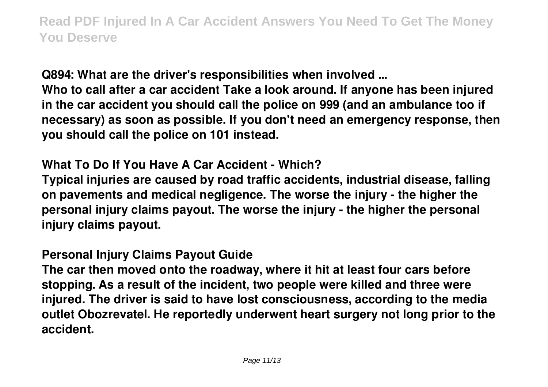**Q894: What are the driver's responsibilities when involved ...**

**Who to call after a car accident Take a look around. If anyone has been injured in the car accident you should call the police on 999 (and an ambulance too if necessary) as soon as possible. If you don't need an emergency response, then you should call the police on 101 instead.**

## **What To Do If You Have A Car Accident - Which?**

**Typical injuries are caused by road traffic accidents, industrial disease, falling on pavements and medical negligence. The worse the injury - the higher the personal injury claims payout. The worse the injury - the higher the personal injury claims payout.**

#### **Personal Injury Claims Payout Guide**

**The car then moved onto the roadway, where it hit at least four cars before stopping. As a result of the incident, two people were killed and three were injured. The driver is said to have lost consciousness, according to the media outlet Obozrevatel. He reportedly underwent heart surgery not long prior to the accident.**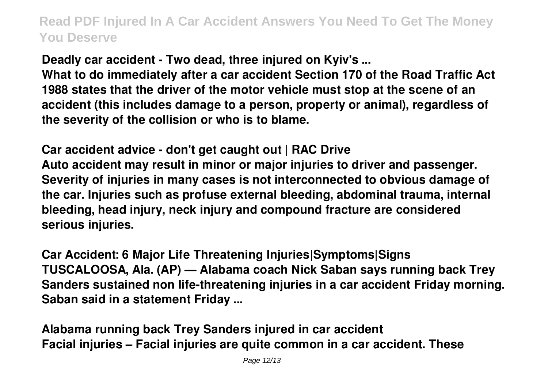**Deadly car accident - Two dead, three injured on Kyiv's ...**

**What to do immediately after a car accident Section 170 of the Road Traffic Act 1988 states that the driver of the motor vehicle must stop at the scene of an accident (this includes damage to a person, property or animal), regardless of the severity of the collision or who is to blame.**

**Car accident advice - don't get caught out | RAC Drive Auto accident may result in minor or major injuries to driver and passenger. Severity of injuries in many cases is not interconnected to obvious damage of the car. Injuries such as profuse external bleeding, abdominal trauma, internal bleeding, head injury, neck injury and compound fracture are considered serious injuries.**

**Car Accident: 6 Major Life Threatening Injuries|Symptoms|Signs TUSCALOOSA, Ala. (AP) — Alabama coach Nick Saban says running back Trey Sanders sustained non life-threatening injuries in a car accident Friday morning. Saban said in a statement Friday ...**

**Alabama running back Trey Sanders injured in car accident Facial injuries – Facial injuries are quite common in a car accident. These**